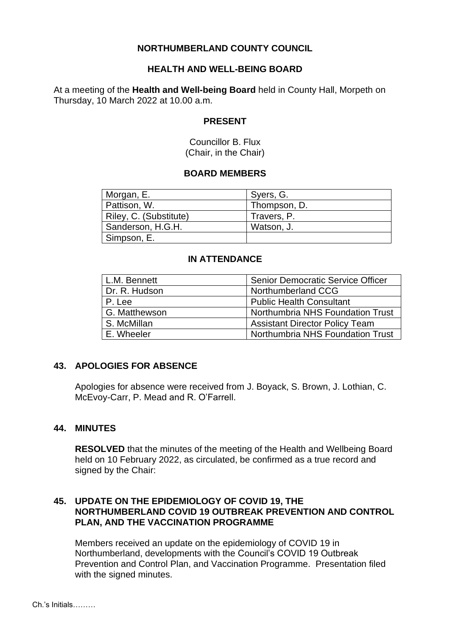### **NORTHUMBERLAND COUNTY COUNCIL**

### **HEALTH AND WELL-BEING BOARD**

At a meeting of the **Health and Well-being Board** held in County Hall, Morpeth on Thursday, 10 March 2022 at 10.00 a.m.

#### **PRESENT**

Councillor B. Flux (Chair, in the Chair)

#### **BOARD MEMBERS**

| Morgan, E.             | Syers, G.    |
|------------------------|--------------|
| Pattison, W.           | Thompson, D. |
| Riley, C. (Substitute) | Travers, P.  |
| Sanderson, H.G.H.      | Watson, J.   |
| Simpson, E.            |              |

#### **IN ATTENDANCE**

| L.M. Bennett  | <b>Senior Democratic Service Officer</b> |
|---------------|------------------------------------------|
| Dr. R. Hudson | Northumberland CCG                       |
| P. Lee        | <b>Public Health Consultant</b>          |
| G. Matthewson | Northumbria NHS Foundation Trust         |
| S. McMillan   | <b>Assistant Director Policy Team</b>    |
| E. Wheeler    | Northumbria NHS Foundation Trust         |

### **43. APOLOGIES FOR ABSENCE**

Apologies for absence were received from J. Boyack, S. Brown, J. Lothian, C. McEvoy-Carr, P. Mead and R. O'Farrell.

#### **44. MINUTES**

**RESOLVED** that the minutes of the meeting of the Health and Wellbeing Board held on 10 February 2022, as circulated, be confirmed as a true record and signed by the Chair:

### **45. UPDATE ON THE EPIDEMIOLOGY OF COVID 19, THE NORTHUMBERLAND COVID 19 OUTBREAK PREVENTION AND CONTROL PLAN, AND THE VACCINATION PROGRAMME**

Members received an update on the epidemiology of COVID 19 in Northumberland, developments with the Council's COVID 19 Outbreak Prevention and Control Plan, and Vaccination Programme. Presentation filed with the signed minutes.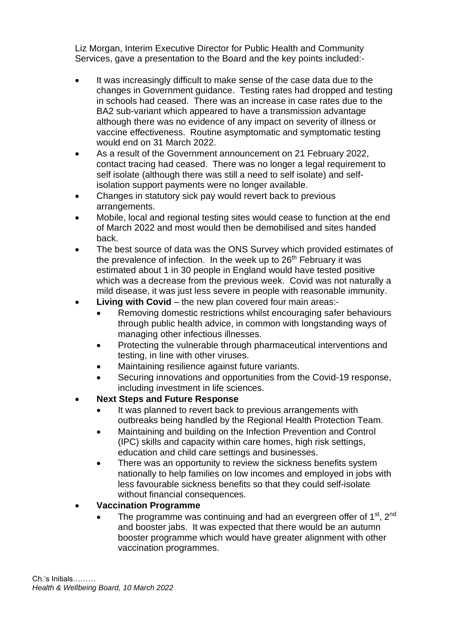Liz Morgan, Interim Executive Director for Public Health and Community Services, gave a presentation to the Board and the key points included:-

- It was increasingly difficult to make sense of the case data due to the changes in Government guidance. Testing rates had dropped and testing in schools had ceased. There was an increase in case rates due to the BA2 sub-variant which appeared to have a transmission advantage although there was no evidence of any impact on severity of illness or vaccine effectiveness. Routine asymptomatic and symptomatic testing would end on 31 March 2022.
- As a result of the Government announcement on 21 February 2022, contact tracing had ceased. There was no longer a legal requirement to self isolate (although there was still a need to self isolate) and selfisolation support payments were no longer available.
- Changes in statutory sick pay would revert back to previous arrangements.
- Mobile, local and regional testing sites would cease to function at the end of March 2022 and most would then be demobilised and sites handed back.
- The best source of data was the ONS Survey which provided estimates of the prevalence of infection. In the week up to  $26<sup>th</sup>$  February it was estimated about 1 in 30 people in England would have tested positive which was a decrease from the previous week. Covid was not naturally a mild disease, it was just less severe in people with reasonable immunity.
- **Living with Covid** the new plan covered four main areas:-
	- Removing domestic restrictions whilst encouraging safer behaviours through public health advice, in common with longstanding ways of managing other infectious illnesses.
	- Protecting the vulnerable through pharmaceutical interventions and testing, in line with other viruses.
	- Maintaining resilience against future variants.
	- Securing innovations and opportunities from the Covid-19 response, including investment in life sciences.

## • **Next Steps and Future Response**

- It was planned to revert back to previous arrangements with outbreaks being handled by the Regional Health Protection Team.
- Maintaining and building on the Infection Prevention and Control (IPC) skills and capacity within care homes, high risk settings, education and child care settings and businesses.
- There was an opportunity to review the sickness benefits system nationally to help families on low incomes and employed in jobs with less favourable sickness benefits so that they could self-isolate without financial consequences.

## • **Vaccination Programme**

• The programme was continuing and had an evergreen offer of 1<sup>st</sup>, 2<sup>nd</sup> and booster jabs. It was expected that there would be an autumn booster programme which would have greater alignment with other vaccination programmes.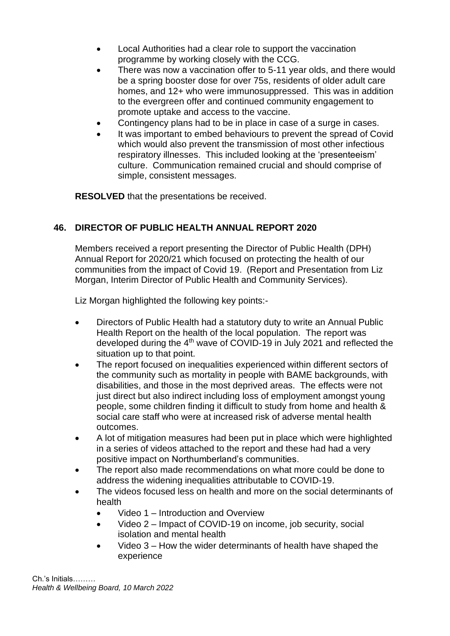- Local Authorities had a clear role to support the vaccination programme by working closely with the CCG.
- There was now a vaccination offer to 5-11 year olds, and there would be a spring booster dose for over 75s, residents of older adult care homes, and 12+ who were immunosuppressed. This was in addition to the evergreen offer and continued community engagement to promote uptake and access to the vaccine.
- Contingency plans had to be in place in case of a surge in cases.
- It was important to embed behaviours to prevent the spread of Covid which would also prevent the transmission of most other infectious respiratory illnesses. This included looking at the 'presenteeism' culture. Communication remained crucial and should comprise of simple, consistent messages.

**RESOLVED** that the presentations be received.

## **46. DIRECTOR OF PUBLIC HEALTH ANNUAL REPORT 2020**

Members received a report presenting the Director of Public Health (DPH) Annual Report for 2020/21 which focused on protecting the health of our communities from the impact of Covid 19. (Report and Presentation from Liz Morgan, Interim Director of Public Health and Community Services).

Liz Morgan highlighted the following key points:-

- Directors of Public Health had a statutory duty to write an Annual Public Health Report on the health of the local population. The report was developed during the 4<sup>th</sup> wave of COVID-19 in July 2021 and reflected the situation up to that point.
- The report focused on inequalities experienced within different sectors of the community such as mortality in people with BAME backgrounds, with disabilities, and those in the most deprived areas. The effects were not just direct but also indirect including loss of employment amongst young people, some children finding it difficult to study from home and health & social care staff who were at increased risk of adverse mental health outcomes.
- A lot of mitigation measures had been put in place which were highlighted in a series of videos attached to the report and these had had a very positive impact on Northumberland's communities.
- The report also made recommendations on what more could be done to address the widening inequalities attributable to COVID-19.
- The videos focused less on health and more on the social determinants of health
	- Video 1 Introduction and Overview
	- Video 2 Impact of COVID-19 on income, job security, social isolation and mental health
	- Video 3 How the wider determinants of health have shaped the experience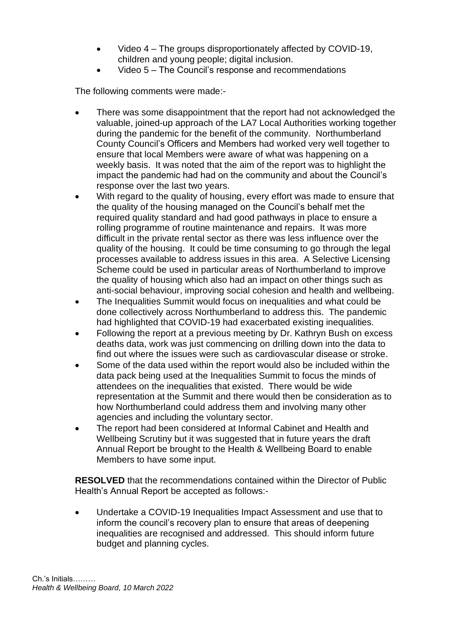- Video 4 The groups disproportionately affected by COVID-19, children and young people; digital inclusion.
- Video 5 The Council's response and recommendations

The following comments were made:-

- There was some disappointment that the report had not acknowledged the valuable, joined-up approach of the LA7 Local Authorities working together during the pandemic for the benefit of the community. Northumberland County Council's Officers and Members had worked very well together to ensure that local Members were aware of what was happening on a weekly basis. It was noted that the aim of the report was to highlight the impact the pandemic had had on the community and about the Council's response over the last two years.
- With regard to the quality of housing, every effort was made to ensure that the quality of the housing managed on the Council's behalf met the required quality standard and had good pathways in place to ensure a rolling programme of routine maintenance and repairs. It was more difficult in the private rental sector as there was less influence over the quality of the housing. It could be time consuming to go through the legal processes available to address issues in this area. A Selective Licensing Scheme could be used in particular areas of Northumberland to improve the quality of housing which also had an impact on other things such as anti-social behaviour, improving social cohesion and health and wellbeing.
- The Inequalities Summit would focus on inequalities and what could be done collectively across Northumberland to address this. The pandemic had highlighted that COVID-19 had exacerbated existing inequalities.
- Following the report at a previous meeting by Dr. Kathryn Bush on excess deaths data, work was just commencing on drilling down into the data to find out where the issues were such as cardiovascular disease or stroke.
- Some of the data used within the report would also be included within the data pack being used at the Inequalities Summit to focus the minds of attendees on the inequalities that existed. There would be wide representation at the Summit and there would then be consideration as to how Northumberland could address them and involving many other agencies and including the voluntary sector.
- The report had been considered at Informal Cabinet and Health and Wellbeing Scrutiny but it was suggested that in future years the draft Annual Report be brought to the Health & Wellbeing Board to enable Members to have some input.

**RESOLVED** that the recommendations contained within the Director of Public Health's Annual Report be accepted as follows:-

• Undertake a COVID-19 Inequalities Impact Assessment and use that to inform the council's recovery plan to ensure that areas of deepening inequalities are recognised and addressed. This should inform future budget and planning cycles.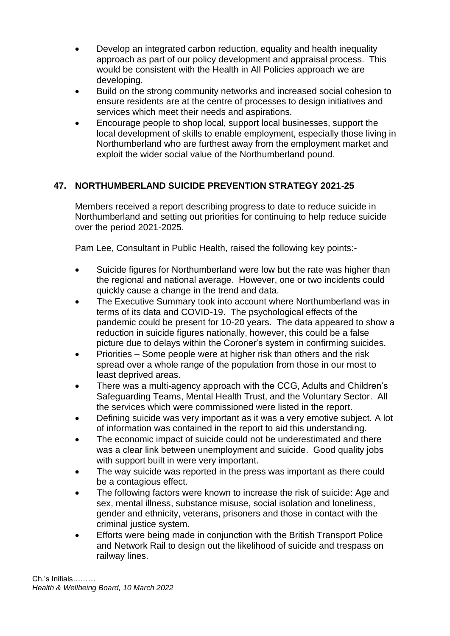- Develop an integrated carbon reduction, equality and health inequality approach as part of our policy development and appraisal process. This would be consistent with the Health in All Policies approach we are developing.
- Build on the strong community networks and increased social cohesion to ensure residents are at the centre of processes to design initiatives and services which meet their needs and aspirations.
- Encourage people to shop local, support local businesses, support the local development of skills to enable employment, especially those living in Northumberland who are furthest away from the employment market and exploit the wider social value of the Northumberland pound.

# **47. NORTHUMBERLAND SUICIDE PREVENTION STRATEGY 2021-25**

Members received a report describing progress to date to reduce suicide in Northumberland and setting out priorities for continuing to help reduce suicide over the period 2021-2025.

Pam Lee, Consultant in Public Health, raised the following key points:-

- Suicide figures for Northumberland were low but the rate was higher than the regional and national average. However, one or two incidents could quickly cause a change in the trend and data.
- The Executive Summary took into account where Northumberland was in terms of its data and COVID-19. The psychological effects of the pandemic could be present for 10-20 years. The data appeared to show a reduction in suicide figures nationally, however, this could be a false picture due to delays within the Coroner's system in confirming suicides.
- Priorities Some people were at higher risk than others and the risk spread over a whole range of the population from those in our most to least deprived areas.
- There was a multi-agency approach with the CCG, Adults and Children's Safeguarding Teams, Mental Health Trust, and the Voluntary Sector. All the services which were commissioned were listed in the report.
- Defining suicide was very important as it was a very emotive subject. A lot of information was contained in the report to aid this understanding.
- The economic impact of suicide could not be underestimated and there was a clear link between unemployment and suicide. Good quality jobs with support built in were very important.
- The way suicide was reported in the press was important as there could be a contagious effect.
- The following factors were known to increase the risk of suicide: Age and sex, mental illness, substance misuse, social isolation and loneliness, gender and ethnicity, veterans, prisoners and those in contact with the criminal justice system.
- Efforts were being made in conjunction with the British Transport Police and Network Rail to design out the likelihood of suicide and trespass on railway lines.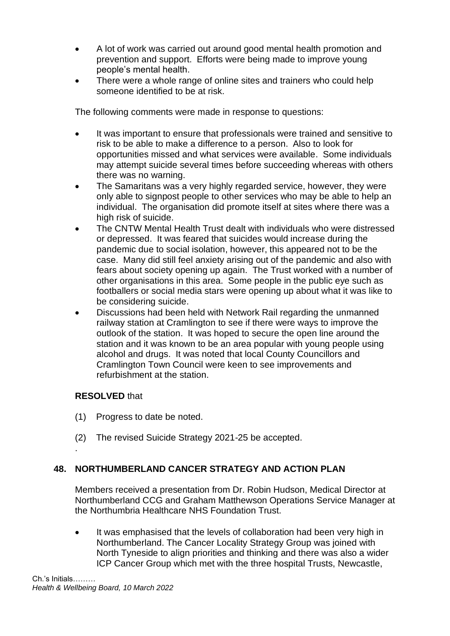- A lot of work was carried out around good mental health promotion and prevention and support. Efforts were being made to improve young people's mental health.
- There were a whole range of online sites and trainers who could help someone identified to be at risk.

The following comments were made in response to questions:

- It was important to ensure that professionals were trained and sensitive to risk to be able to make a difference to a person. Also to look for opportunities missed and what services were available. Some individuals may attempt suicide several times before succeeding whereas with others there was no warning.
- The Samaritans was a very highly regarded service, however, they were only able to signpost people to other services who may be able to help an individual. The organisation did promote itself at sites where there was a high risk of suicide.
- The CNTW Mental Health Trust dealt with individuals who were distressed or depressed. It was feared that suicides would increase during the pandemic due to social isolation, however, this appeared not to be the case. Many did still feel anxiety arising out of the pandemic and also with fears about society opening up again. The Trust worked with a number of other organisations in this area. Some people in the public eye such as footballers or social media stars were opening up about what it was like to be considering suicide.
- Discussions had been held with Network Rail regarding the unmanned railway station at Cramlington to see if there were ways to improve the outlook of the station. It was hoped to secure the open line around the station and it was known to be an area popular with young people using alcohol and drugs. It was noted that local County Councillors and Cramlington Town Council were keen to see improvements and refurbishment at the station.

### **RESOLVED** that

.

- (1) Progress to date be noted.
- (2) The revised Suicide Strategy 2021-25 be accepted.

### **48. NORTHUMBERLAND CANCER STRATEGY AND ACTION PLAN**

Members received a presentation from Dr. Robin Hudson, Medical Director at Northumberland CCG and Graham Matthewson Operations Service Manager at the Northumbria Healthcare NHS Foundation Trust.

It was emphasised that the levels of collaboration had been very high in Northumberland. The Cancer Locality Strategy Group was joined with North Tyneside to align priorities and thinking and there was also a wider ICP Cancer Group which met with the three hospital Trusts, Newcastle,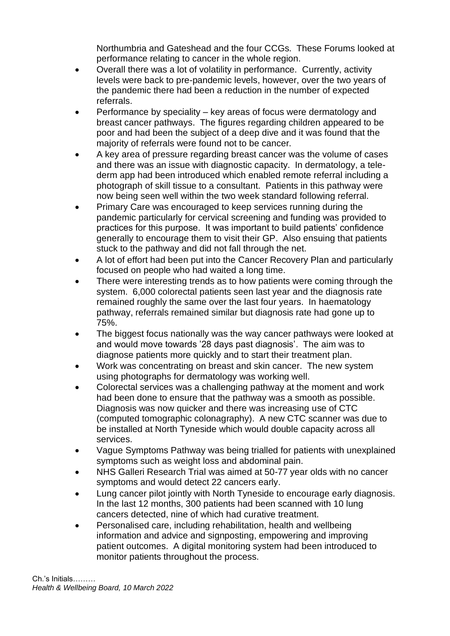Northumbria and Gateshead and the four CCGs. These Forums looked at performance relating to cancer in the whole region.

- Overall there was a lot of volatility in performance. Currently, activity levels were back to pre-pandemic levels, however, over the two years of the pandemic there had been a reduction in the number of expected referrals.
- Performance by speciality key areas of focus were dermatology and breast cancer pathways. The figures regarding children appeared to be poor and had been the subject of a deep dive and it was found that the majority of referrals were found not to be cancer.
- A key area of pressure regarding breast cancer was the volume of cases and there was an issue with diagnostic capacity. In dermatology, a telederm app had been introduced which enabled remote referral including a photograph of skill tissue to a consultant. Patients in this pathway were now being seen well within the two week standard following referral.
- Primary Care was encouraged to keep services running during the pandemic particularly for cervical screening and funding was provided to practices for this purpose. It was important to build patients' confidence generally to encourage them to visit their GP. Also ensuing that patients stuck to the pathway and did not fall through the net.
- A lot of effort had been put into the Cancer Recovery Plan and particularly focused on people who had waited a long time.
- There were interesting trends as to how patients were coming through the system. 6,000 colorectal patients seen last year and the diagnosis rate remained roughly the same over the last four years. In haematology pathway, referrals remained similar but diagnosis rate had gone up to 75%.
- The biggest focus nationally was the way cancer pathways were looked at and would move towards '28 days past diagnosis'. The aim was to diagnose patients more quickly and to start their treatment plan.
- Work was concentrating on breast and skin cancer. The new system using photographs for dermatology was working well.
- Colorectal services was a challenging pathway at the moment and work had been done to ensure that the pathway was a smooth as possible. Diagnosis was now quicker and there was increasing use of CTC (computed tomographic colonagraphy). A new CTC scanner was due to be installed at North Tyneside which would double capacity across all services.
- Vague Symptoms Pathway was being trialled for patients with unexplained symptoms such as weight loss and abdominal pain.
- NHS Galleri Research Trial was aimed at 50-77 year olds with no cancer symptoms and would detect 22 cancers early.
- Lung cancer pilot jointly with North Tyneside to encourage early diagnosis. In the last 12 months, 300 patients had been scanned with 10 lung cancers detected, nine of which had curative treatment.
- Personalised care, including rehabilitation, health and wellbeing information and advice and signposting, empowering and improving patient outcomes. A digital monitoring system had been introduced to monitor patients throughout the process.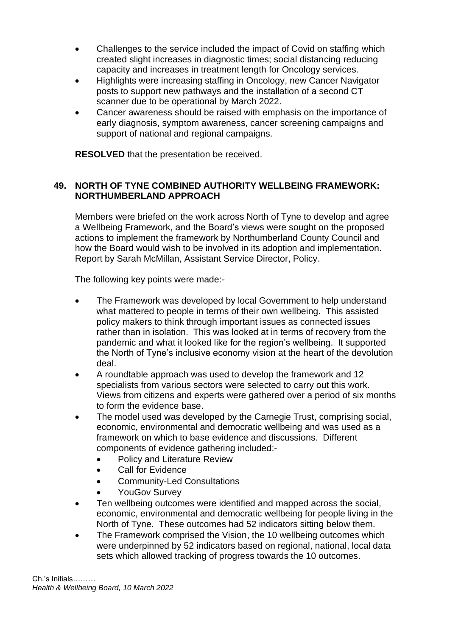- Challenges to the service included the impact of Covid on staffing which created slight increases in diagnostic times; social distancing reducing capacity and increases in treatment length for Oncology services.
- Highlights were increasing staffing in Oncology, new Cancer Navigator posts to support new pathways and the installation of a second CT scanner due to be operational by March 2022.
- Cancer awareness should be raised with emphasis on the importance of early diagnosis, symptom awareness, cancer screening campaigns and support of national and regional campaigns.

**RESOLVED** that the presentation be received.

### **49. NORTH OF TYNE COMBINED AUTHORITY WELLBEING FRAMEWORK: NORTHUMBERLAND APPROACH**

Members were briefed on the work across North of Tyne to develop and agree a Wellbeing Framework, and the Board's views were sought on the proposed actions to implement the framework by Northumberland County Council and how the Board would wish to be involved in its adoption and implementation. Report by Sarah McMillan, Assistant Service Director, Policy.

The following key points were made:-

- The Framework was developed by local Government to help understand what mattered to people in terms of their own wellbeing. This assisted policy makers to think through important issues as connected issues rather than in isolation. This was looked at in terms of recovery from the pandemic and what it looked like for the region's wellbeing. It supported the North of Tyne's inclusive economy vision at the heart of the devolution deal.
- A roundtable approach was used to develop the framework and 12 specialists from various sectors were selected to carry out this work. Views from citizens and experts were gathered over a period of six months to form the evidence base.
- The model used was developed by the Carnegie Trust, comprising social, economic, environmental and democratic wellbeing and was used as a framework on which to base evidence and discussions. Different components of evidence gathering included:-
	- Policy and Literature Review
	- Call for Evidence
	- Community-Led Consultations
	- YouGov Survey
- Ten wellbeing outcomes were identified and mapped across the social, economic, environmental and democratic wellbeing for people living in the North of Tyne. These outcomes had 52 indicators sitting below them.
- The Framework comprised the Vision, the 10 wellbeing outcomes which were underpinned by 52 indicators based on regional, national, local data sets which allowed tracking of progress towards the 10 outcomes.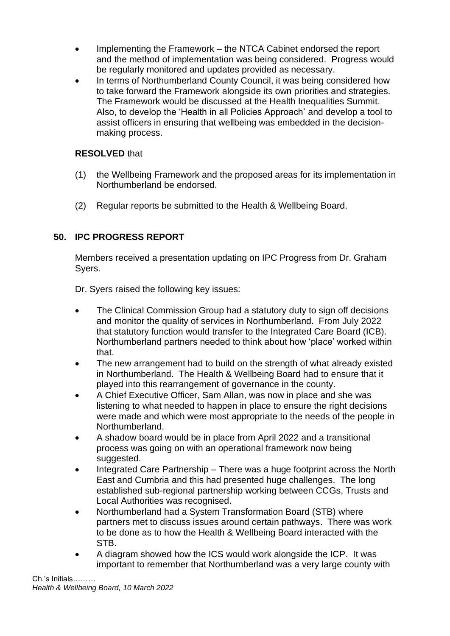- Implementing the Framework the NTCA Cabinet endorsed the report and the method of implementation was being considered. Progress would be regularly monitored and updates provided as necessary.
- In terms of Northumberland County Council, it was being considered how to take forward the Framework alongside its own priorities and strategies. The Framework would be discussed at the Health Inequalities Summit. Also, to develop the 'Health in all Policies Approach' and develop a tool to assist officers in ensuring that wellbeing was embedded in the decisionmaking process.

## **RESOLVED** that

- (1) the Wellbeing Framework and the proposed areas for its implementation in Northumberland be endorsed.
- (2) Regular reports be submitted to the Health & Wellbeing Board.

# **50. IPC PROGRESS REPORT**

Members received a presentation updating on IPC Progress from Dr. Graham Syers.

Dr. Syers raised the following key issues:

- The Clinical Commission Group had a statutory duty to sign off decisions and monitor the quality of services in Northumberland. From July 2022 that statutory function would transfer to the Integrated Care Board (ICB). Northumberland partners needed to think about how 'place' worked within that.
- The new arrangement had to build on the strength of what already existed in Northumberland. The Health & Wellbeing Board had to ensure that it played into this rearrangement of governance in the county.
- A Chief Executive Officer, Sam Allan, was now in place and she was listening to what needed to happen in place to ensure the right decisions were made and which were most appropriate to the needs of the people in Northumberland.
- A shadow board would be in place from April 2022 and a transitional process was going on with an operational framework now being suggested.
- Integrated Care Partnership There was a huge footprint across the North East and Cumbria and this had presented huge challenges. The long established sub-regional partnership working between CCGs, Trusts and Local Authorities was recognised.
- Northumberland had a System Transformation Board (STB) where partners met to discuss issues around certain pathways. There was work to be done as to how the Health & Wellbeing Board interacted with the STB.
- A diagram showed how the ICS would work alongside the ICP. It was important to remember that Northumberland was a very large county with